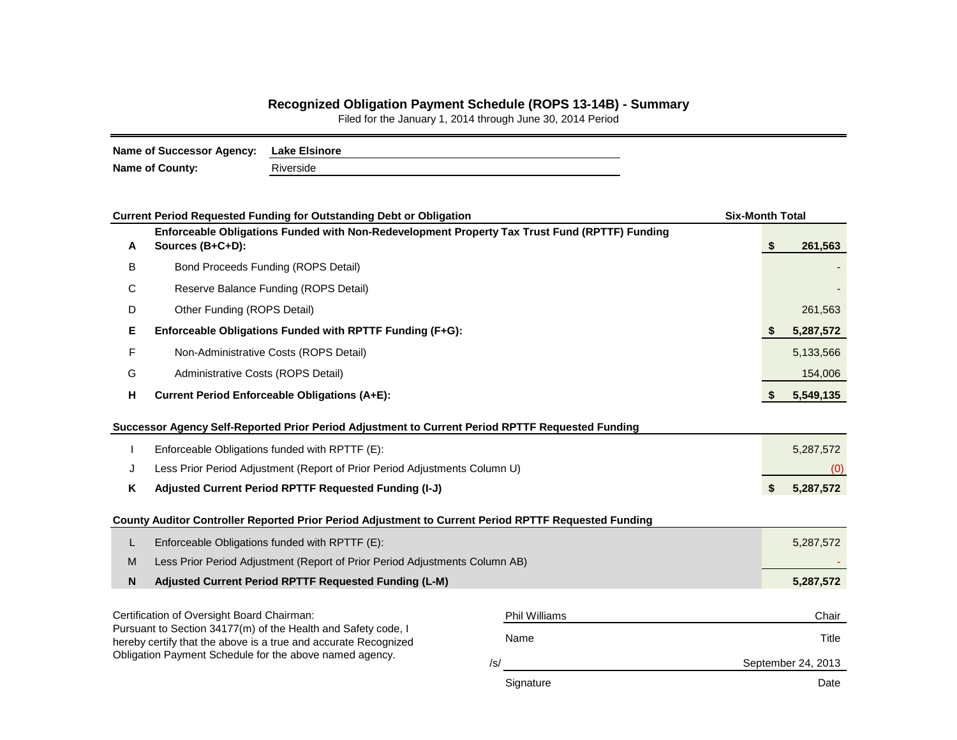## **Recognized Obligation Payment Schedule (ROPS 13-14B) - Summary**

Filed for the January 1, 2014 through June 30, 2014 Period

| Name of Successor Agency: | <b>Lake Elsinore</b> |
|---------------------------|----------------------|
| <b>Name of County:</b>    | Riverside            |

|                                                                                                  | <b>Current Period Requested Funding for Outstanding Debt or Obligation</b>                                                       |                    | <b>Six-Month Total</b> |  |    |           |  |  |  |  |  |  |
|--------------------------------------------------------------------------------------------------|----------------------------------------------------------------------------------------------------------------------------------|--------------------|------------------------|--|----|-----------|--|--|--|--|--|--|
| A                                                                                                | Enforceable Obligations Funded with Non-Redevelopment Property Tax Trust Fund (RPTTF) Funding<br>Sources (B+C+D):                |                    |                        |  | S  | 261,563   |  |  |  |  |  |  |
| B                                                                                                | Bond Proceeds Funding (ROPS Detail)                                                                                              |                    |                        |  |    |           |  |  |  |  |  |  |
| С                                                                                                | Reserve Balance Funding (ROPS Detail)                                                                                            |                    |                        |  |    |           |  |  |  |  |  |  |
| D                                                                                                | Other Funding (ROPS Detail)                                                                                                      |                    |                        |  |    |           |  |  |  |  |  |  |
| Е                                                                                                | Enforceable Obligations Funded with RPTTF Funding (F+G):                                                                         |                    |                        |  |    |           |  |  |  |  |  |  |
| F                                                                                                | Non-Administrative Costs (ROPS Detail)                                                                                           |                    |                        |  |    |           |  |  |  |  |  |  |
| G                                                                                                | Administrative Costs (ROPS Detail)                                                                                               |                    |                        |  |    |           |  |  |  |  |  |  |
| н                                                                                                | <b>Current Period Enforceable Obligations (A+E):</b>                                                                             |                    |                        |  |    |           |  |  |  |  |  |  |
| Successor Agency Self-Reported Prior Period Adjustment to Current Period RPTTF Requested Funding |                                                                                                                                  |                    |                        |  |    |           |  |  |  |  |  |  |
|                                                                                                  | Enforceable Obligations funded with RPTTF (E):                                                                                   |                    |                        |  |    | 5,287,572 |  |  |  |  |  |  |
| J                                                                                                | Less Prior Period Adjustment (Report of Prior Period Adjustments Column U)                                                       |                    |                        |  |    | (0)       |  |  |  |  |  |  |
| Κ                                                                                                | Adjusted Current Period RPTTF Requested Funding (I-J)                                                                            |                    |                        |  | \$ | 5,287,572 |  |  |  |  |  |  |
|                                                                                                  | County Auditor Controller Reported Prior Period Adjustment to Current Period RPTTF Requested Funding                             |                    |                        |  |    |           |  |  |  |  |  |  |
| L                                                                                                | Enforceable Obligations funded with RPTTF (E):                                                                                   |                    |                        |  |    | 5,287,572 |  |  |  |  |  |  |
| M                                                                                                | Less Prior Period Adjustment (Report of Prior Period Adjustments Column AB)                                                      |                    |                        |  |    |           |  |  |  |  |  |  |
| N                                                                                                | Adjusted Current Period RPTTF Requested Funding (L-M)                                                                            |                    |                        |  |    | 5,287,572 |  |  |  |  |  |  |
|                                                                                                  | Certification of Oversight Board Chairman:                                                                                       |                    | <b>Phil Williams</b>   |  |    | Chair     |  |  |  |  |  |  |
|                                                                                                  | Pursuant to Section 34177(m) of the Health and Safety code, I<br>hereby certify that the above is a true and accurate Recognized |                    | Name                   |  |    | Title     |  |  |  |  |  |  |
| Obligation Payment Schedule for the above named agency.                                          |                                                                                                                                  | September 24, 2013 |                        |  |    |           |  |  |  |  |  |  |
|                                                                                                  |                                                                                                                                  |                    | Signature              |  |    | Date      |  |  |  |  |  |  |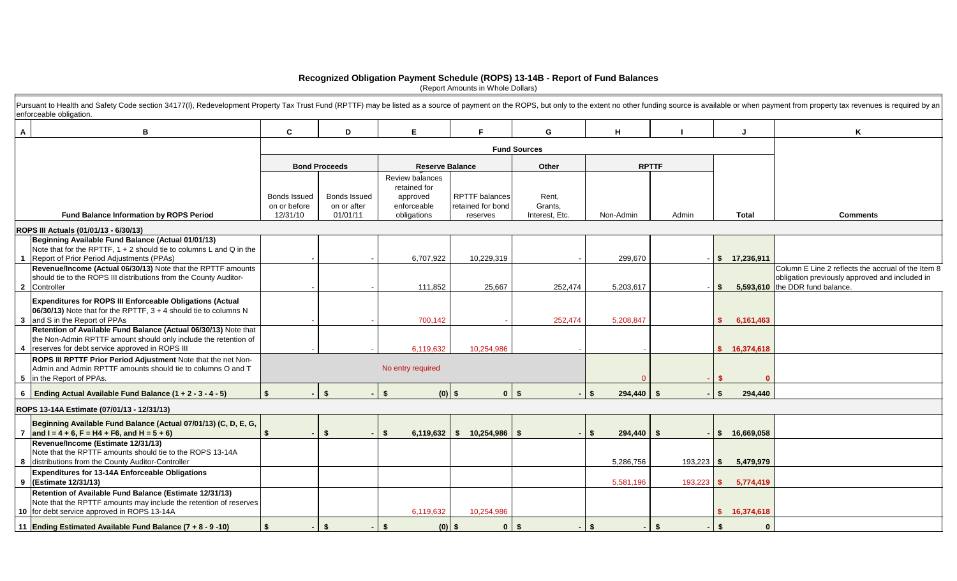## **Recognized Obligation Payment Schedule (ROPS) 13-14B - Report of Fund Balances**

(Report Amounts in Whole Dollars)

|                | Pursuant to Health and Safety Code section 34177(I), Redevelopment Property Tax Trust Fund (RPTTF) may be listed as a source of payment on the ROPS, but only to the extent no other funding source is available or when payme<br>enforceable obligation. |                          |                         |                                 |                               |                           |                    |              |                       |                                                                                                                                         |
|----------------|-----------------------------------------------------------------------------------------------------------------------------------------------------------------------------------------------------------------------------------------------------------|--------------------------|-------------------------|---------------------------------|-------------------------------|---------------------------|--------------------|--------------|-----------------------|-----------------------------------------------------------------------------------------------------------------------------------------|
| $\mathsf{A}$   | В                                                                                                                                                                                                                                                         | C.                       | D                       | E.                              | F                             | G                         | H                  |              |                       | ĸ                                                                                                                                       |
|                |                                                                                                                                                                                                                                                           |                          |                         |                                 | <b>Fund Sources</b>           |                           |                    |              |                       |                                                                                                                                         |
|                |                                                                                                                                                                                                                                                           |                          | <b>Bond Proceeds</b>    | <b>Reserve Balance</b>          |                               | Other                     |                    | <b>RPTTF</b> |                       |                                                                                                                                         |
|                |                                                                                                                                                                                                                                                           |                          |                         | Review balances<br>retained for |                               |                           |                    |              |                       |                                                                                                                                         |
|                |                                                                                                                                                                                                                                                           | Bonds Issued             | <b>Bonds Issued</b>     | approved                        | <b>RPTTF</b> balances         | Rent.                     |                    |              |                       |                                                                                                                                         |
|                | <b>Fund Balance Information by ROPS Period</b>                                                                                                                                                                                                            | on or before<br>12/31/10 | on or after<br>01/01/11 | enforceable<br>obligations      | retained for bond<br>reserves | Grants,<br>Interest, Etc. | Non-Admin          | Admin        | <b>Total</b>          | <b>Comments</b>                                                                                                                         |
|                | ROPS III Actuals (01/01/13 - 6/30/13)                                                                                                                                                                                                                     |                          |                         |                                 |                               |                           |                    |              |                       |                                                                                                                                         |
|                | Beginning Available Fund Balance (Actual 01/01/13)<br>Note that for the RPTTF, $1 + 2$ should tie to columns L and Q in the<br>Report of Prior Period Adjustments (PPAs)                                                                                  |                          |                         | 6,707,922                       | 10,229,319                    |                           | 299,670            |              | \$ 17,236,911         |                                                                                                                                         |
|                | Revenue/Income (Actual 06/30/13) Note that the RPTTF amounts<br>should tie to the ROPS III distributions from the County Auditor-<br>2 Controller                                                                                                         |                          |                         | 111,852                         | 25,667                        | 252,474                   | 5,203,617          |              | s.                    | Column E Line 2 reflects the accrual of the Item 8<br>obligation previously approved and included in<br>5,593,610 the DDR fund balance. |
|                | <b>Expenditures for ROPS III Enforceable Obligations (Actual</b><br>06/30/13) Note that for the RPTTF, $3 + 4$ should tie to columns N<br>3 and S in the Report of PPAs                                                                                   |                          |                         | 700,142                         |                               | 252,474                   | 5,208,847          |              | 6,161,463<br>\$.      |                                                                                                                                         |
|                | Retention of Available Fund Balance (Actual 06/30/13) Note that<br>the Non-Admin RPTTF amount should only include the retention of<br>4   reserves for debt service approved in ROPS III                                                                  |                          |                         | 6,119,632                       | 10,254,986                    |                           |                    |              | \$16,374,618          |                                                                                                                                         |
|                | ROPS III RPTTF Prior Period Adjustment Note that the net Non-<br>Admin and Admin RPTTF amounts should tie to columns O and T<br>5 in the Report of PPAs.                                                                                                  |                          |                         | No entry required               |                               |                           |                    |              |                       |                                                                                                                                         |
|                | 6 Ending Actual Available Fund Balance (1 + 2 - 3 - 4 - 5)                                                                                                                                                                                                | $\mathbf{s}$             | \$                      | \$                              | $0$ \$<br>$(0)$ \$            |                           | \$<br>$294,440$ \$ | - IS-        | 294,440               |                                                                                                                                         |
|                | ROPS 13-14A Estimate (07/01/13 - 12/31/13)                                                                                                                                                                                                                |                          |                         |                                 |                               |                           |                    |              |                       |                                                                                                                                         |
| $\overline{7}$ | Beginning Available Fund Balance (Actual 07/01/13) (C, D, E, G,<br>and $I = 4 + 6$ , $F = H4 + F6$ , and $H = 5 + 6$                                                                                                                                      | \$                       | $\mathbf{\hat{f}}$      | 6,119,632                       | \$10,254,986                  | - \$                      | $294,440$ \$<br>\$ |              | \$ 16,669,058         |                                                                                                                                         |
|                | Revenue/Income (Estimate 12/31/13)<br>Note that the RPTTF amounts should tie to the ROPS 13-14A<br>8 distributions from the County Auditor-Controller                                                                                                     |                          |                         |                                 |                               |                           | 5,286,756          | $193,223$ \$ | 5,479,979             |                                                                                                                                         |
|                | Expenditures for 13-14A Enforceable Obligations<br>9 (Estimate 12/31/13)                                                                                                                                                                                  |                          |                         |                                 |                               |                           | 5,581,196          | 193,223      | 5,774,419<br><b>S</b> |                                                                                                                                         |
|                | Retention of Available Fund Balance (Estimate 12/31/13)<br>Note that the RPTTF amounts may include the retention of reserves<br>10 for debt service approved in ROPS 13-14A                                                                               |                          |                         | 6,119,632                       | 10,254,986                    |                           |                    |              | \$16,374,618          |                                                                                                                                         |
|                | 11 Ending Estimated Available Fund Balance (7 + 8 - 9 -10)                                                                                                                                                                                                | \$                       | \$                      |                                 | $\mathbf{0}$<br>$(0)$ \$      | \$                        | \$                 | \$           | \$<br>- 0             |                                                                                                                                         |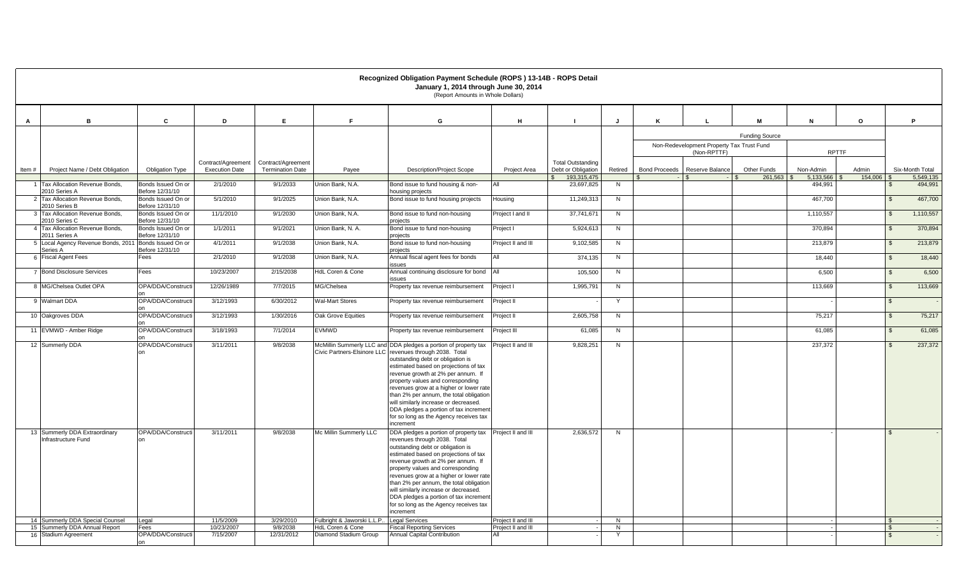|       | Recognized Obligation Payment Schedule (ROPS) 13-14B - ROPS Detail<br>January 1, 2014 through June 30, 2014<br>(Report Amounts in Whole Dollars) |                                       |                         |                         |                                                           |                                                                                                                                                                                                                                                                                                                                                                                                                                                                                   |                                          |                                           |                     |   |                                                          |                       |                      |         |                |                      |  |  |  |  |
|-------|--------------------------------------------------------------------------------------------------------------------------------------------------|---------------------------------------|-------------------------|-------------------------|-----------------------------------------------------------|-----------------------------------------------------------------------------------------------------------------------------------------------------------------------------------------------------------------------------------------------------------------------------------------------------------------------------------------------------------------------------------------------------------------------------------------------------------------------------------|------------------------------------------|-------------------------------------------|---------------------|---|----------------------------------------------------------|-----------------------|----------------------|---------|----------------|----------------------|--|--|--|--|
| A     | B                                                                                                                                                | C                                     | D                       | E                       | F.                                                        | G                                                                                                                                                                                                                                                                                                                                                                                                                                                                                 | H                                        |                                           | J                   | ĸ |                                                          | M                     | N                    | $\circ$ | P.             |                      |  |  |  |  |
|       |                                                                                                                                                  |                                       |                         |                         |                                                           |                                                                                                                                                                                                                                                                                                                                                                                                                                                                                   |                                          |                                           |                     |   |                                                          | <b>Funding Source</b> |                      |         |                |                      |  |  |  |  |
|       |                                                                                                                                                  |                                       |                         |                         |                                                           |                                                                                                                                                                                                                                                                                                                                                                                                                                                                                   |                                          |                                           |                     |   | Non-Redevelopment Property Tax Trust Fund<br>(Non-RPTTF) |                       | <b>RPTTF</b>         |         |                |                      |  |  |  |  |
|       |                                                                                                                                                  |                                       | Contract/Agreement      | Contract/Agreement      |                                                           |                                                                                                                                                                                                                                                                                                                                                                                                                                                                                   |                                          | <b>Total Outstanding</b>                  |                     |   |                                                          |                       |                      |         |                |                      |  |  |  |  |
| Item# | Project Name / Debt Obligation                                                                                                                   | <b>Obligation Type</b>                | <b>Execution Date</b>   | <b>Termination Date</b> | Pavee                                                     | <b>Description/Project Scope</b>                                                                                                                                                                                                                                                                                                                                                                                                                                                  | Project Area                             | Debt or Obligation                        | Retired             |   | Bond Proceeds   Reserve Balance                          | Other Funds           | Non-Admin            | Admin   |                | Six-Month Total      |  |  |  |  |
|       | 1 Tax Allocation Revenue Bonds,                                                                                                                  | Bonds Issued On or                    | 2/1/2010                | 9/1/2033                | Union Bank, N.A.                                          | Bond issue to fund housing & non-                                                                                                                                                                                                                                                                                                                                                                                                                                                 | All                                      | 193,315,475<br>$\mathbb{S}$<br>23,697,825 | N.                  |   |                                                          | 261.563               | 5,133,566<br>494,991 | 154,006 | $\mathfrak{L}$ | 5,549,135<br>494,991 |  |  |  |  |
|       | 2010 Series A<br>2 Tax Allocation Revenue Bonds.                                                                                                 | Before 12/31/10<br>Bonds Issued On or | 5/1/2010                | 9/1/2025                | Union Bank, N.A.                                          | housing projects<br>Bond issue to fund housing projects                                                                                                                                                                                                                                                                                                                                                                                                                           | Housing                                  | 11,249,313                                | N                   |   |                                                          |                       | 467,700              |         | $\mathbb{S}$   | 467,700              |  |  |  |  |
|       | 2010 Series B                                                                                                                                    | Before 12/31/10                       |                         | 9/1/2030                |                                                           |                                                                                                                                                                                                                                                                                                                                                                                                                                                                                   |                                          |                                           |                     |   |                                                          |                       |                      |         |                |                      |  |  |  |  |
|       | 3 Tax Allocation Revenue Bonds.<br>2010 Series C                                                                                                 | Bonds Issued On or<br>Before 12/31/10 | 11/1/2010               |                         | Union Bank, N.A.                                          | Bond issue to fund non-housing<br>projects                                                                                                                                                                                                                                                                                                                                                                                                                                        | Project I and II                         | 37,741,671                                | N                   |   |                                                          |                       | 1,110,557            |         | $\mathbb{S}$   | 1,110,557            |  |  |  |  |
|       | 4 Tax Allocation Revenue Bonds,<br>2011 Series A                                                                                                 | Bonds Issued On or<br>Before 12/31/10 | 1/1/2011                | 9/1/2021                | Union Bank, N. A.                                         | Bond issue to fund non-housing<br>projects                                                                                                                                                                                                                                                                                                                                                                                                                                        | Project I                                | 5,924,613                                 | N                   |   |                                                          |                       | 370,894              |         | $\sqrt{3}$     | 370,894              |  |  |  |  |
|       | 5 Local Agency Revenue Bonds, 2011 Bonds Issued On or<br>Series A                                                                                | Before 12/31/10                       | 4/1/2011                | 9/1/2038                | Union Bank, N.A.                                          | Bond issue to fund non-housing<br>projects                                                                                                                                                                                                                                                                                                                                                                                                                                        | Project II and III                       | 9,102,585                                 | N                   |   |                                                          |                       | 213,879              |         | $\sqrt{3}$     | 213,879              |  |  |  |  |
|       | 6 Fiscal Agent Fees                                                                                                                              | Fees                                  | 2/1/2010                | 9/1/2038                | Union Bank, N.A.                                          | Annual fiscal agent fees for bonds<br>issues                                                                                                                                                                                                                                                                                                                                                                                                                                      | AII                                      | 374,135                                   | N                   |   |                                                          |                       | 18,440               |         | $\sqrt{3}$     | 18,440               |  |  |  |  |
|       | 7 Bond Disclosure Services                                                                                                                       | Fees                                  | 10/23/2007              | 2/15/2038               | HdL Coren & Cone                                          | Annual continuing disclosure for bond                                                                                                                                                                                                                                                                                                                                                                                                                                             | All                                      | 105,500                                   | N                   |   |                                                          |                       | 6,500                |         | $\mathbb{S}$   | 6,500                |  |  |  |  |
|       | 8 MG/Chelsea Outlet OPA                                                                                                                          | OPA/DDA/Constructi                    | 12/26/1989              | 7/7/2015                | MG/Chelsea                                                | issues<br>Property tax revenue reimbursement                                                                                                                                                                                                                                                                                                                                                                                                                                      | Project I                                | 1,995,791                                 | $\overline{N}$      |   |                                                          |                       | 113,669              |         | $\mathfrak{S}$ | 113,669              |  |  |  |  |
|       | 9 Walmart DDA                                                                                                                                    | OPA/DDA/Constructi                    | 3/12/1993               | 6/30/2012               | <b>Wal-Mart Stores</b>                                    | Property tax revenue reimbursement                                                                                                                                                                                                                                                                                                                                                                                                                                                | Project II                               |                                           | Y                   |   |                                                          |                       |                      |         | $\mathcal{S}$  |                      |  |  |  |  |
|       | 10 Oakgroves DDA                                                                                                                                 | OPA/DDA/Constructi                    | 3/12/1993               | 1/30/2016               | Oak Grove Equities                                        | Property tax revenue reimbursement                                                                                                                                                                                                                                                                                                                                                                                                                                                | Project II                               | 2,605,758                                 | N                   |   |                                                          |                       | 75,217               |         | $\mathbb{S}$   | 75,217               |  |  |  |  |
|       | 11 EVMWD - Amber Ridge                                                                                                                           | OPA/DDA/Constructi                    | 3/18/1993               | 7/1/2014                | <b>EVMWD</b>                                              | Property tax revenue reimbursement                                                                                                                                                                                                                                                                                                                                                                                                                                                | Project III                              | 61,085                                    | N                   |   |                                                          |                       | 61.085               |         | $\mathbb{S}$   | 61,085               |  |  |  |  |
|       | 12 Summerly DDA                                                                                                                                  | OPA/DDA/Constructi                    | 3/11/2011               | 9/8/2038                |                                                           | McMillin Summerly LLC and DDA pledges a portion of property tax                                                                                                                                                                                                                                                                                                                                                                                                                   | Project II and III                       | 9,828,251                                 | N                   |   |                                                          |                       | 237,372              |         | $\mathbf{s}$   | 237,372              |  |  |  |  |
|       |                                                                                                                                                  |                                       |                         |                         |                                                           | Civic Partners-Elsinore LLC revenues through 2038. Total<br>outstanding debt or obligation is<br>estimated based on projections of tax<br>revenue growth at 2% per annum. If<br>property values and corresponding<br>revenues grow at a higher or lower rate<br>than 2% per annum, the total obligation<br>will similarly increase or decreased.<br>DDA pledges a portion of tax incremen<br>for so long as the Agency receives tax<br>increment                                  |                                          |                                           |                     |   |                                                          |                       |                      |         |                |                      |  |  |  |  |
|       | 13 Summerly DDA Extraordinary<br>Infrastructure Fund                                                                                             | OPA/DDA/Constructi                    | 3/11/2011               | 9/8/2038                | Mc Millin Summerly LLC                                    | DDA pledges a portion of property tax Project II and III<br>revenues through 2038. Total<br>outstanding debt or obligation is<br>estimated based on projections of tax<br>revenue growth at 2% per annum. If<br>property values and corresponding<br>revenues grow at a higher or lower rate<br>than 2% per annum, the total obligation<br>will similarly increase or decreased.<br>DDA pledges a portion of tax increment<br>for so long as the Agency receives tax<br>increment |                                          | 2.636.572                                 | N                   |   |                                                          |                       |                      |         | $\mathcal{F}$  |                      |  |  |  |  |
|       | 14 Summerly DDA Special Counsel<br>15 Summerly DDA Annual Report                                                                                 | Legal<br>Fees                         | 11/5/2009<br>10/23/2007 | 3/29/2010<br>9/8/2038   | Fulbright & Jaworski L.L.P<br><b>HdL Coren &amp; Cone</b> | <b>Legal Services</b><br><b>Fiscal Reporting Services</b>                                                                                                                                                                                                                                                                                                                                                                                                                         | Project II and III<br>Project II and III |                                           | $\overline{N}$<br>N |   |                                                          |                       |                      |         | $\mathcal{F}$  |                      |  |  |  |  |
|       | 16 Stadium Agreement                                                                                                                             | OPA/DDA/Constructi<br>nn              | 7/15/2007               | 12/31/2012              | Diamond Stadium Group                                     | Annual Capital Contribution                                                                                                                                                                                                                                                                                                                                                                                                                                                       | AII                                      |                                           | Y                   |   |                                                          |                       |                      |         |                |                      |  |  |  |  |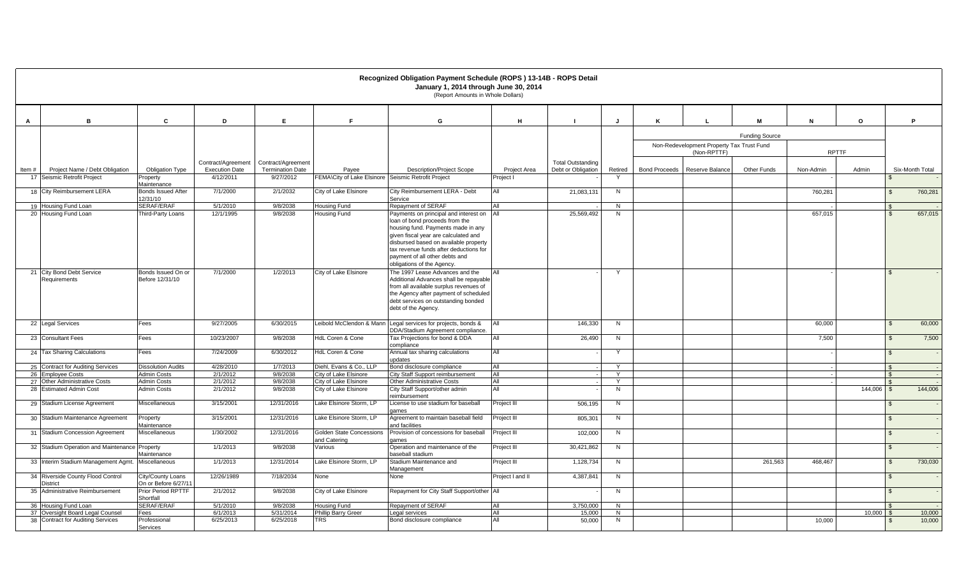|       | Recognized Obligation Payment Schedule (ROPS) 13-14B - ROPS Detail<br>January 1, 2014 through June 30, 2014<br>(Report Amounts in Whole Dollars) |                                           |                                    |                                      |                                                              |                                                                                                                                                                                                                                                                                                          |                           |                          |              |                      |                                                          |                       |              |         |                |                  |
|-------|--------------------------------------------------------------------------------------------------------------------------------------------------|-------------------------------------------|------------------------------------|--------------------------------------|--------------------------------------------------------------|----------------------------------------------------------------------------------------------------------------------------------------------------------------------------------------------------------------------------------------------------------------------------------------------------------|---------------------------|--------------------------|--------------|----------------------|----------------------------------------------------------|-----------------------|--------------|---------|----------------|------------------|
| A     | B                                                                                                                                                | C                                         | D                                  | E.                                   | F.                                                           | G                                                                                                                                                                                                                                                                                                        | H                         | - 1                      | J            | ĸ                    | $\mathbf{I}$                                             | M                     | N            | $\circ$ |                | P.               |
|       |                                                                                                                                                  |                                           |                                    |                                      |                                                              |                                                                                                                                                                                                                                                                                                          |                           |                          |              |                      |                                                          | <b>Funding Source</b> |              |         |                |                  |
|       |                                                                                                                                                  |                                           |                                    |                                      |                                                              |                                                                                                                                                                                                                                                                                                          |                           |                          |              |                      | Non-Redevelopment Property Tax Trust Fund<br>(Non-RPTTF) |                       | <b>RPTTF</b> |         |                |                  |
|       |                                                                                                                                                  |                                           | Contract/Agreement                 | Contract/Agreement                   |                                                              |                                                                                                                                                                                                                                                                                                          |                           | <b>Total Outstanding</b> |              |                      |                                                          |                       |              |         |                |                  |
| Item# | Project Name / Debt Obligation<br>17 Seismic Retrofit Project                                                                                    | <b>Obligation Type</b><br>Property        | <b>Execution Date</b><br>4/12/2011 | <b>Termination Date</b><br>9/27/2012 | Payee<br>FEMA\City of Lake Elsinore Seismic Retrofit Project | <b>Description/Project Scope</b>                                                                                                                                                                                                                                                                         | Project Area<br>Project I | Debt or Obligation       | Retired      | <b>Bond Proceeds</b> | Reserve Balance                                          | Other Funds           | Non-Admin    | Admin   |                | Six-Month Total  |
|       |                                                                                                                                                  | Maintenance                               |                                    |                                      |                                                              |                                                                                                                                                                                                                                                                                                          |                           |                          |              |                      |                                                          |                       |              |         |                |                  |
|       | 18 City Reimbursement LERA                                                                                                                       | <b>Bonds Issued After</b><br>12/31/10     | 7/1/2000                           | 2/1/2032                             | City of Lake Elsinore                                        | City Reimbursement LERA - Debt<br>Service                                                                                                                                                                                                                                                                | All                       | 21.083.131               | N            |                      |                                                          |                       | 760,281      |         |                | 760,281          |
|       | 19 Housing Fund Loan                                                                                                                             | SERAF/ERAF                                | 5/1/2010                           | 9/8/2038                             | Housing Fund                                                 | Repayment of SERAF                                                                                                                                                                                                                                                                                       | All<br>$\Delta$ II        |                          | N            |                      |                                                          |                       |              |         |                |                  |
|       | 20 Housing Fund Loan                                                                                                                             | Third-Party Loans                         | 12/1/1995                          | 9/8/2038                             | <b>Housing Fund</b>                                          | Payments on principal and interest on<br>loan of bond proceeds from the<br>housing fund. Payments made in any<br>given fiscal year are calculated and<br>disbursed based on available property<br>tax revenue funds after deductions for<br>payment of all other debts and<br>obligations of the Agency. |                           | 25,569,492               | N            |                      |                                                          |                       | 657,015      |         |                | 657,015          |
|       | 21 City Bond Debt Service<br>Requirements                                                                                                        | Bonds Issued On or<br>Before 12/31/10     | 7/1/2000                           | 1/2/2013                             | City of Lake Elsinore                                        | The 1997 Lease Advances and the<br>Additional Advances shall be repayable<br>from all available surplus revenues of<br>the Agency after payment of scheduled<br>debt services on outstanding bonded<br>debt of the Agency.                                                                               |                           |                          |              |                      |                                                          |                       |              |         |                |                  |
|       | 22 Legal Services                                                                                                                                | Fees                                      | 9/27/2005                          | 6/30/2015                            |                                                              | Leibold McClendon & Mann Legal services for projects, bonds &<br>DDA/Stadium Agreement compliance.                                                                                                                                                                                                       | <b>AII</b>                | 146.330                  | N            |                      |                                                          |                       | 60,000       |         | $\mathcal{L}$  | 60,000           |
|       | 23 Consultant Fees                                                                                                                               | Fees                                      | 10/23/2007                         | 9/8/2038                             | HdL Coren & Cone                                             | Tax Projections for bond & DDA<br>compliance                                                                                                                                                                                                                                                             | All                       | 26,490                   | N            |                      |                                                          |                       | 7,500        |         |                | 7,500            |
|       | 24 Tax Sharing Calculations                                                                                                                      | Fees                                      | 7/24/2009                          | 6/30/2012                            | HdL Coren & Cone                                             | Annual tax sharing calculations<br>updates                                                                                                                                                                                                                                                               | All                       |                          | Y            |                      |                                                          |                       |              |         | $\mathcal{L}$  |                  |
|       | 25 Contract for Auditing Services                                                                                                                | <b>Dissolution Audits</b>                 | 4/28/2010                          | 1/7/2013                             | Diehl, Evans & Co., LLP                                      | Bond disclosure compliance                                                                                                                                                                                                                                                                               | All                       |                          | Y            |                      |                                                          |                       |              |         |                |                  |
|       | 26 Employee Costs                                                                                                                                | <b>Admin Costs</b>                        | 2/1/2012                           | 9/8/2038                             | City of Lake Elsinore                                        | City Staff Support reimbursement                                                                                                                                                                                                                                                                         | All                       |                          | $\checkmark$ |                      |                                                          |                       |              |         |                |                  |
|       | 27 Other Administrative Costs<br>28 Estimated Admin Cost                                                                                         | <b>Admin Costs</b><br><b>Admin Costs</b>  | 2/1/2012<br>2/1/2012               | 9/8/2038<br>9/8/2038                 | City of Lake Elsinore<br>City of Lake Elsinore               | Other Administrative Costs<br>City Staff Support/other admin                                                                                                                                                                                                                                             | All<br>All                |                          | N            |                      |                                                          |                       |              | 144,006 | $\mathcal{F}$  | 144,006          |
|       | 29 Stadium License Agreement                                                                                                                     | Miscellaneous                             | 3/15/2001                          | 12/31/2016                           | Lake Elsinore Storm, LP                                      | reimbursement<br>License to use stadium for baseball                                                                                                                                                                                                                                                     | Project III               | 506,195                  | N            |                      |                                                          |                       |              |         |                |                  |
|       | 30 Stadium Maintenance Agreement                                                                                                                 |                                           | 3/15/2001                          | 12/31/2016                           | Lake Elsinore Storm. LP                                      | games<br>Agreement to maintain baseball field                                                                                                                                                                                                                                                            | Project III               | 805,301                  | N            |                      |                                                          |                       |              |         | $\mathcal{L}$  |                  |
|       |                                                                                                                                                  | Property<br>Maintenance                   |                                    |                                      |                                                              | and facilities                                                                                                                                                                                                                                                                                           |                           |                          |              |                      |                                                          |                       |              |         |                |                  |
|       | 31 Stadium Concession Agreement                                                                                                                  | Miscellaneous                             | 1/30/2002                          | 12/31/2016                           | <b>Golden State Concessions</b><br>and Catering              | Provision of concessions for baseball<br>ames                                                                                                                                                                                                                                                            | Project III               | 102,000                  | N            |                      |                                                          |                       |              |         | $\mathcal{L}$  |                  |
|       | 32 Stadium Operation and Maintenance Property                                                                                                    | Maintenance                               | 1/1/2013                           | 9/8/2038                             | Various                                                      | Operation and maintenance of the<br>baseball stadium                                                                                                                                                                                                                                                     | Project III               | 30,421,862               | N            |                      |                                                          |                       |              |         | $\mathfrak{L}$ |                  |
|       | 33 Interim Stadium Management Agmt.                                                                                                              | Miscellaneous                             | 1/1/2013                           | 12/31/2014                           | Lake Elsinore Storm, LP                                      | Stadium Maintenance and<br>Management                                                                                                                                                                                                                                                                    | Project III               | 1,128,734                | N            |                      |                                                          | 261,563               | 468,467      |         |                | 730,030          |
|       | 34 Riverside County Flood Control<br><b>District</b>                                                                                             | City/County Loans<br>On or Before 6/27/11 | 12/26/1989                         | 7/18/2034                            | None                                                         | None                                                                                                                                                                                                                                                                                                     | Project I and II          | 4,387,841                | N            |                      |                                                          |                       |              |         | $\mathcal{L}$  |                  |
|       | 35 Administrative Reimbursement                                                                                                                  | <b>Prior Period RPTTF</b><br>Shortfall    | 2/1/2012                           | 9/8/2038                             | City of Lake Elsinore                                        | Repayment for City Staff Support/other All                                                                                                                                                                                                                                                               |                           |                          | N            |                      |                                                          |                       |              |         |                |                  |
|       | 36 Housing Fund Loan                                                                                                                             | SERAF/ERAF                                | 5/1/2010                           | 9/8/2038                             | Housing Fund                                                 | Repayment of SERAF                                                                                                                                                                                                                                                                                       | All                       | 3.750.000                | N            |                      |                                                          |                       |              |         |                |                  |
|       | 37 Oversight Board Legal Counsel<br>38 Contract for Auditing Services                                                                            | Fees<br>Professional                      | 6/1/2013<br>6/25/2013              | 5/31/2014<br>6/25/2018               | <b>Phillip Barry Greer</b><br><b>TRS</b>                     | Legal services<br>Bond disclosure compliance                                                                                                                                                                                                                                                             | All<br>All                | 15.000<br>50,000         | N<br>N       |                      |                                                          |                       | 10,000       | 10.000  |                | 10,000<br>10,000 |
|       |                                                                                                                                                  | Services                                  |                                    |                                      |                                                              |                                                                                                                                                                                                                                                                                                          |                           |                          |              |                      |                                                          |                       |              |         |                |                  |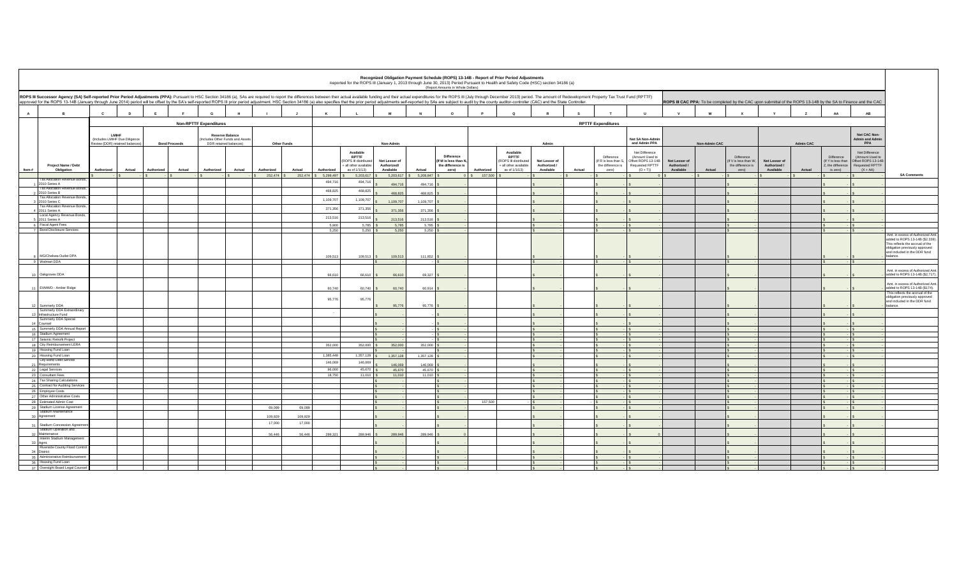|                                        | Recognized Obligation Payment Schedule (ROPS) 13-14B - Report of Prior Period Adjustments<br>Reported for the ROPS III (January 1, 2013 through June 30, 2013) Period Pursuant to Health and Safety Code (HSC) section 34186 (a)<br>(Report Amounts in Whole Dollars)                                                                                                                                                                                            |                                                                  |              |            |                      |                               |                                                            |                                 |              |                      |                                                              |                                           |                          |                                            |                 |                                                                 |                                            |          |                                                                   |                                                                        |                                            |        |                                                                                                                 |                                            |                |                                             |                                                                                                     |                                                                                                                                                                          |
|----------------------------------------|------------------------------------------------------------------------------------------------------------------------------------------------------------------------------------------------------------------------------------------------------------------------------------------------------------------------------------------------------------------------------------------------------------------------------------------------------------------|------------------------------------------------------------------|--------------|------------|----------------------|-------------------------------|------------------------------------------------------------|---------------------------------|--------------|----------------------|--------------------------------------------------------------|-------------------------------------------|--------------------------|--------------------------------------------|-----------------|-----------------------------------------------------------------|--------------------------------------------|----------|-------------------------------------------------------------------|------------------------------------------------------------------------|--------------------------------------------|--------|-----------------------------------------------------------------------------------------------------------------|--------------------------------------------|----------------|---------------------------------------------|-----------------------------------------------------------------------------------------------------|--------------------------------------------------------------------------------------------------------------------------------------------------------------------------|
|                                        | ROPS III Successor Agency (SA) Self-reported Prior Period Adjustments (PPA): Pursuant to HSC Section 34186 (a), SAs are required to report the differences between their actual available funding and their actual expenditure<br>approved for the ROPS 13-14B (January through June 2014) period will be offset by the SA's self-reported ROPS III prior period adjustment. HSC Section 34186 (a) also specifies that the prior period adjustments self-reporte |                                                                  |              |            |                      |                               |                                                            |                                 |              |                      |                                                              |                                           |                          |                                            |                 |                                                                 |                                            |          |                                                                   |                                                                        |                                            |        | ROPS III CAC PPA: To be completed by the CAC upon submittal of the ROPS 13-14B by the SA to Finance and the CAC |                                            |                |                                             |                                                                                                     |                                                                                                                                                                          |
| A                                      | B                                                                                                                                                                                                                                                                                                                                                                                                                                                                | $\mathbf{c}$                                                     | $\mathbf{D}$ | E          |                      | G                             | H                                                          |                                 | $\mathbf{J}$ | $\kappa$             |                                                              | M                                         | $\mathbf N$              | $\circ$                                    |                 | $\alpha$                                                        |                                            | <b>s</b> |                                                                   | $\mathbf{u}$                                                           | $\mathbf{v}$                               | w      |                                                                                                                 |                                            | $\overline{z}$ | AA                                          | <b>AB</b>                                                                                           |                                                                                                                                                                          |
|                                        |                                                                                                                                                                                                                                                                                                                                                                                                                                                                  |                                                                  |              |            |                      | <b>Non-RPTTF Expenditures</b> |                                                            |                                 |              |                      |                                                              |                                           |                          |                                            |                 |                                                                 |                                            |          | <b>RPTTF Expenditures</b>                                         |                                                                        |                                            |        |                                                                                                                 |                                            |                |                                             |                                                                                                     |                                                                                                                                                                          |
| <b>LMIHF</b><br><b>Reserve Balance</b> |                                                                                                                                                                                                                                                                                                                                                                                                                                                                  |                                                                  |              |            |                      |                               |                                                            |                                 |              |                      |                                                              |                                           |                          |                                            |                 |                                                                 |                                            |          |                                                                   | Net CAC Non-                                                           |                                            |        |                                                                                                                 |                                            |                |                                             |                                                                                                     |                                                                                                                                                                          |
|                                        |                                                                                                                                                                                                                                                                                                                                                                                                                                                                  | (Includes LMIHF Due Diligence<br>Review (DDR) retained balances) |              |            | <b>Bond Proceeds</b> |                               | (Includes Other Funds and Assets<br>DDR retained balances) | <b>Other Funds</b>              |              |                      |                                                              | Non-Admin                                 |                          |                                            | Admin           |                                                                 |                                            |          | Net SA Non-Admir<br>and Admin PPA                                 |                                                                        | <b>Non-Admin CAC</b>                       |        |                                                                                                                 | <b>Admin CAC</b>                           |                |                                             | <b>Admin and Admin</b><br>PPA                                                                       |                                                                                                                                                                          |
|                                        |                                                                                                                                                                                                                                                                                                                                                                                                                                                                  |                                                                  |              |            |                      |                               |                                                            |                                 |              |                      | Available<br><b>RPTTF</b>                                    |                                           |                          | <b>Difference</b>                          |                 | Available<br>RPTTF                                              |                                            |          |                                                                   | Net Difference                                                         |                                            |        | Difference                                                                                                      |                                            |                |                                             | Net Difference                                                                                      |                                                                                                                                                                          |
|                                        | Project Name / Debt                                                                                                                                                                                                                                                                                                                                                                                                                                              | Authorized                                                       |              | Authorized | Actual               | Authorized                    |                                                            |                                 | Actual       | Authorized           | ROPS III distributed<br>all other available<br>as of 1/1/13) | Net Lesser of<br>Authorized/<br>Available | Actual                   | (If M is less than N,<br>the difference is | Authorized      | (ROPS III distributed<br>+ all other available<br>as of 1/1/13) | Net Lesser of<br>Authorized /<br>Available | Actual   | Difference<br>(If R is less than S.<br>the difference is<br>zero) | (Amount Used to<br>Offset ROPS 13-14B<br>Requested RPTTF<br>$(O + T))$ | Net Lesser of<br>Authorized /<br>Available | Actual | IV is less than W<br>the difference is<br>zero)                                                                 | Net Lesser of<br>Authorized /<br>Available | Actual         | Difference<br>Z, the difference<br>is zero) | (Amount Used to<br>(If Y is less than   Offset ROPS 13-14B)<br><b>Requested RPTTF</b><br>$(X + AA)$ |                                                                                                                                                                          |
| Item#                                  | Obligation                                                                                                                                                                                                                                                                                                                                                                                                                                                       |                                                                  | Actual       | $-1s$      | $-1s$                |                               | Actual                                                     | Authorized<br>252,474 \$252,474 |              | 5,299,497            | 5,203,617                                                    | 5,203,617                                 | 5,208,847                | zero)                                      | 0 \$ 157,500 \$ |                                                                 |                                            |          |                                                                   | $\Omega$                                                               |                                            |        |                                                                                                                 |                                            |                |                                             |                                                                                                     | <b>SA Comments</b>                                                                                                                                                       |
|                                        | <b>Tax Allocation Revenue Bonds</b><br>1 2010 Series A<br>Tax Allocation Revenue Bonds.                                                                                                                                                                                                                                                                                                                                                                          |                                                                  |              |            |                      |                               |                                                            |                                 |              | 494,716              | 494,716                                                      | 494,716                                   | 494,716                  |                                            |                 |                                                                 |                                            |          |                                                                   |                                                                        |                                            |        |                                                                                                                 |                                            |                |                                             |                                                                                                     |                                                                                                                                                                          |
|                                        | 2 2010 Series B<br>Tax Allocation Revenue Bonds,                                                                                                                                                                                                                                                                                                                                                                                                                 |                                                                  |              |            |                      |                               |                                                            |                                 |              | 468,825              | 468,825                                                      | 468,825                                   | 468,825                  |                                            |                 |                                                                 |                                            |          |                                                                   |                                                                        |                                            |        |                                                                                                                 |                                            |                |                                             |                                                                                                     |                                                                                                                                                                          |
|                                        | 3 2010 Series C                                                                                                                                                                                                                                                                                                                                                                                                                                                  |                                                                  |              |            |                      |                               |                                                            |                                 |              | 1,109,707            | 1,109,707                                                    | 1,109,707                                 | 1,109,707                |                                            |                 |                                                                 |                                            |          |                                                                   |                                                                        |                                            |        |                                                                                                                 |                                            |                |                                             |                                                                                                     |                                                                                                                                                                          |
|                                        | <b>Tax Allocation Revenue Bonds</b><br>4 2011 Series A                                                                                                                                                                                                                                                                                                                                                                                                           |                                                                  |              |            |                      |                               |                                                            |                                 |              | 371,356              | 371,356                                                      | 371,356                                   | 371,356                  |                                            |                 |                                                                 |                                            |          |                                                                   |                                                                        |                                            |        |                                                                                                                 |                                            |                |                                             |                                                                                                     |                                                                                                                                                                          |
|                                        | Local Agency Revenue Bonds,<br>5 2011 Series A                                                                                                                                                                                                                                                                                                                                                                                                                   |                                                                  |              |            |                      |                               |                                                            |                                 |              | 213,516              | 213,516                                                      | 213,516                                   | 213,516                  |                                            |                 |                                                                 |                                            |          |                                                                   |                                                                        |                                            |        |                                                                                                                 |                                            |                |                                             |                                                                                                     |                                                                                                                                                                          |
|                                        | 6 Fiscal Agent Fees<br>7 Bond Disclosure Services                                                                                                                                                                                                                                                                                                                                                                                                                |                                                                  |              |            |                      |                               |                                                            |                                 |              | 5,900<br>5,250       | 5,785 S<br>$5,250$ $S$                                       | 5,785<br>5,250                            | $5,785$ \$<br>$5,250$ \$ |                                            |                 |                                                                 |                                            |          |                                                                   |                                                                        |                                            |        |                                                                                                                 |                                            |                | $ s$<br>$ S$                                |                                                                                                     |                                                                                                                                                                          |
|                                        |                                                                                                                                                                                                                                                                                                                                                                                                                                                                  |                                                                  |              |            |                      |                               |                                                            |                                 |              |                      |                                                              |                                           |                          |                                            |                 |                                                                 |                                            |          |                                                                   |                                                                        |                                            |        |                                                                                                                 |                                            |                |                                             |                                                                                                     | Amt. in excess of Authorized Amt<br>added to ROPS 13-14B (\$2.339)<br>This reflects the accrual of the<br>obligation previously approved<br>and included in the DDR fund |
|                                        | 8 MG/Chelsea Outlet OPA                                                                                                                                                                                                                                                                                                                                                                                                                                          |                                                                  |              |            |                      |                               |                                                            |                                 |              | 109,513              | $109,513$ \$                                                 | 109,513                                   | 111,852                  |                                            |                 |                                                                 |                                            |          |                                                                   |                                                                        |                                            |        |                                                                                                                 |                                            |                |                                             |                                                                                                     | balance.                                                                                                                                                                 |
|                                        | 9 Walmart DDA                                                                                                                                                                                                                                                                                                                                                                                                                                                    |                                                                  |              |            |                      |                               |                                                            |                                 |              |                      |                                                              | $\mathbf{s}$                              |                          | $ s$                                       |                 |                                                                 |                                            |          |                                                                   |                                                                        |                                            |        |                                                                                                                 |                                            |                | $\mathbf{s}$<br>$\overline{\mathbf{s}}$     |                                                                                                     |                                                                                                                                                                          |
|                                        | 10 Oakgroves DDA                                                                                                                                                                                                                                                                                                                                                                                                                                                 |                                                                  |              |            |                      |                               |                                                            |                                 |              | 66,610               | 66,610 \$                                                    | 66,610                                    | 69,327                   |                                            |                 |                                                                 |                                            |          |                                                                   |                                                                        |                                            |        |                                                                                                                 |                                            |                |                                             |                                                                                                     | Amt. in excess of Authorized Am<br>added to ROPS 13-14B (\$2,717)                                                                                                        |
|                                        | 11 EVMWD - Amber Ridge                                                                                                                                                                                                                                                                                                                                                                                                                                           |                                                                  |              |            |                      |                               |                                                            |                                 |              | 60,740               | 60,740 \$                                                    | 60,740                                    | 60,914                   |                                            |                 |                                                                 |                                            |          |                                                                   |                                                                        |                                            |        |                                                                                                                 |                                            |                |                                             |                                                                                                     | Amt in excess of Authorized Am<br>added to ROPS 13-14B (\$174).                                                                                                          |
|                                        |                                                                                                                                                                                                                                                                                                                                                                                                                                                                  |                                                                  |              |            |                      |                               |                                                            |                                 |              | 95,776               | 95,776                                                       |                                           |                          |                                            |                 |                                                                 |                                            |          |                                                                   |                                                                        |                                            |        |                                                                                                                 |                                            |                |                                             |                                                                                                     | This reflects the accrual of the<br>obligation previously approved<br>and included in the DDR fund                                                                       |
|                                        | 12 Summerly DDA<br>Summerly DDA Extraordinary                                                                                                                                                                                                                                                                                                                                                                                                                    |                                                                  |              |            |                      |                               |                                                            |                                 |              |                      |                                                              | 95,776                                    | 95,776                   |                                            |                 |                                                                 |                                            |          |                                                                   |                                                                        |                                            |        |                                                                                                                 |                                            |                |                                             |                                                                                                     | balance.                                                                                                                                                                 |
|                                        | 13 Infrastructure Fund<br>Summerly DDA Special                                                                                                                                                                                                                                                                                                                                                                                                                   |                                                                  |              |            |                      |                               |                                                            |                                 |              | $\sim$               |                                                              |                                           |                          |                                            |                 |                                                                 |                                            |          |                                                                   |                                                                        |                                            |        |                                                                                                                 |                                            |                |                                             |                                                                                                     |                                                                                                                                                                          |
|                                        | 14 Counsel<br>15 Summerly DDA Annual Report                                                                                                                                                                                                                                                                                                                                                                                                                      |                                                                  |              |            |                      |                               |                                                            |                                 |              |                      |                                                              |                                           |                          |                                            |                 |                                                                 |                                            |          |                                                                   |                                                                        |                                            |        |                                                                                                                 |                                            |                |                                             |                                                                                                     |                                                                                                                                                                          |
|                                        | 16 Stadium Agreement                                                                                                                                                                                                                                                                                                                                                                                                                                             |                                                                  |              |            |                      |                               |                                                            |                                 |              |                      |                                                              |                                           |                          |                                            |                 |                                                                 |                                            |          |                                                                   |                                                                        |                                            |        |                                                                                                                 |                                            |                |                                             |                                                                                                     |                                                                                                                                                                          |
|                                        | 17 Seismic Retrofit Project<br>18 City Reimbursement LERA                                                                                                                                                                                                                                                                                                                                                                                                        |                                                                  |              |            |                      |                               |                                                            |                                 |              | 352,000              | 352,000 \$                                                   | 352,000                                   | 352,000                  |                                            |                 |                                                                 |                                            |          |                                                                   |                                                                        |                                            |        |                                                                                                                 |                                            |                |                                             |                                                                                                     |                                                                                                                                                                          |
|                                        | 19 Housing Fund Loan                                                                                                                                                                                                                                                                                                                                                                                                                                             |                                                                  |              |            |                      |                               |                                                            |                                 |              |                      |                                                              |                                           |                          |                                            |                 |                                                                 |                                            |          |                                                                   |                                                                        |                                            |        |                                                                                                                 |                                            |                |                                             |                                                                                                     |                                                                                                                                                                          |
|                                        | 20 Housing Fund Loan<br>City Bond Debt Service                                                                                                                                                                                                                                                                                                                                                                                                                   |                                                                  |              |            |                      |                               |                                                            |                                 |              | 1,385,448<br>146,069 | 1,357,128<br>146,069                                         | 1,357,128                                 | 1,357,128                |                                            |                 |                                                                 |                                            |          |                                                                   |                                                                        |                                            |        |                                                                                                                 |                                            |                |                                             |                                                                                                     |                                                                                                                                                                          |
|                                        | 21 Requirements<br>22 Legal Services                                                                                                                                                                                                                                                                                                                                                                                                                             |                                                                  |              |            |                      |                               |                                                            |                                 |              | 96,000               | $45,670$ S                                                   | 146,069<br>45,670                         | 146,069<br>45,670        |                                            |                 |                                                                 |                                            |          |                                                                   |                                                                        |                                            |        |                                                                                                                 |                                            |                |                                             |                                                                                                     |                                                                                                                                                                          |
|                                        | 23 Consultant Fees                                                                                                                                                                                                                                                                                                                                                                                                                                               |                                                                  |              |            |                      |                               |                                                            |                                 |              | 18,750               | $11,010$ \$                                                  | 11,010                                    | $11,010$ \$              |                                            |                 |                                                                 |                                            |          |                                                                   |                                                                        |                                            |        |                                                                                                                 |                                            |                | Is.                                         |                                                                                                     |                                                                                                                                                                          |
|                                        | 24 Tax Sharing Calculations<br>25 Contract for Auditing Services                                                                                                                                                                                                                                                                                                                                                                                                 |                                                                  |              |            |                      |                               |                                                            |                                 |              |                      |                                                              |                                           |                          |                                            |                 |                                                                 |                                            |          |                                                                   |                                                                        |                                            |        |                                                                                                                 |                                            |                |                                             |                                                                                                     |                                                                                                                                                                          |
|                                        | 26 Employee Costs                                                                                                                                                                                                                                                                                                                                                                                                                                                |                                                                  |              |            |                      |                               |                                                            |                                 |              |                      |                                                              |                                           |                          |                                            |                 |                                                                 |                                            |          |                                                                   |                                                                        |                                            |        |                                                                                                                 |                                            |                |                                             |                                                                                                     |                                                                                                                                                                          |
|                                        | 27 Other Administrative Costs<br>28 Estimated Admin Cost                                                                                                                                                                                                                                                                                                                                                                                                         |                                                                  |              |            |                      |                               |                                                            |                                 |              |                      |                                                              |                                           |                          |                                            | 157,500         |                                                                 |                                            |          |                                                                   |                                                                        |                                            |        |                                                                                                                 |                                            |                |                                             |                                                                                                     |                                                                                                                                                                          |
|                                        | 29 Stadium License Agreement                                                                                                                                                                                                                                                                                                                                                                                                                                     |                                                                  |              |            |                      |                               |                                                            | 69,099                          | 69,099       |                      |                                                              | $\mathsf{s}$                              |                          |                                            |                 |                                                                 |                                            |          |                                                                   |                                                                        |                                            |        |                                                                                                                 |                                            |                | $\sim$                                      |                                                                                                     |                                                                                                                                                                          |
|                                        | Stadium Maintenance<br>30 Agreement                                                                                                                                                                                                                                                                                                                                                                                                                              |                                                                  |              |            |                      |                               |                                                            | 109,929                         | 109,929      |                      |                                                              |                                           |                          |                                            |                 |                                                                 |                                            |          |                                                                   |                                                                        |                                            |        |                                                                                                                 |                                            |                |                                             |                                                                                                     |                                                                                                                                                                          |
|                                        | 31 Stadium Concession Agreen                                                                                                                                                                                                                                                                                                                                                                                                                                     |                                                                  |              |            |                      |                               |                                                            | 17,000                          | 17,000       |                      |                                                              |                                           |                          |                                            |                 |                                                                 |                                            |          |                                                                   |                                                                        |                                            |        |                                                                                                                 |                                            |                |                                             |                                                                                                     |                                                                                                                                                                          |
|                                        | Stadium Operation and<br>32 Maintenance                                                                                                                                                                                                                                                                                                                                                                                                                          |                                                                  |              |            |                      |                               |                                                            | 56,446                          | 56,446       | 299,321              | 289,946 \$                                                   | 289,946                                   | 289,946                  |                                            |                 |                                                                 |                                            |          |                                                                   |                                                                        |                                            |        |                                                                                                                 |                                            |                |                                             |                                                                                                     |                                                                                                                                                                          |
|                                        | Interim Stadium Management<br>33 Agmt.                                                                                                                                                                                                                                                                                                                                                                                                                           |                                                                  |              |            |                      |                               |                                                            |                                 |              |                      |                                                              |                                           |                          |                                            |                 |                                                                 |                                            |          |                                                                   |                                                                        |                                            |        |                                                                                                                 |                                            |                |                                             |                                                                                                     |                                                                                                                                                                          |
|                                        | Riverside County Flood Contro<br>34 District                                                                                                                                                                                                                                                                                                                                                                                                                     |                                                                  |              |            |                      |                               |                                                            |                                 |              |                      |                                                              |                                           |                          |                                            |                 |                                                                 |                                            |          |                                                                   |                                                                        |                                            |        |                                                                                                                 |                                            |                |                                             |                                                                                                     |                                                                                                                                                                          |
|                                        | 35 Administrative Reimbursement                                                                                                                                                                                                                                                                                                                                                                                                                                  |                                                                  |              |            |                      |                               |                                                            |                                 |              |                      |                                                              |                                           |                          |                                            |                 |                                                                 |                                            |          |                                                                   |                                                                        |                                            |        |                                                                                                                 |                                            |                |                                             |                                                                                                     |                                                                                                                                                                          |
|                                        | 36 Housing Fund Loan<br>37 Oversight Board Legal Counsel                                                                                                                                                                                                                                                                                                                                                                                                         |                                                                  |              |            |                      |                               |                                                            |                                 |              |                      |                                                              | $\mathbf{s}$                              |                          | $\sim$                                     |                 |                                                                 |                                            |          |                                                                   |                                                                        |                                            |        |                                                                                                                 |                                            |                | $\mathsf{ls}$<br>$ S$                       |                                                                                                     |                                                                                                                                                                          |